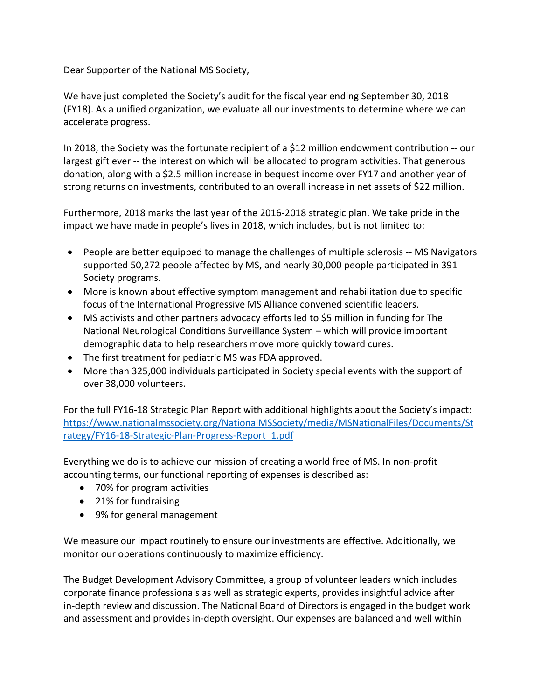Dear Supporter of the National MS Society,

We have just completed the Society's audit for the fiscal year ending September 30, 2018 (FY18). As a unified organization, we evaluate all our investments to determine where we can accelerate progress.

In 2018, the Society was the fortunate recipient of a \$12 million endowment contribution -- our largest gift ever -- the interest on which will be allocated to program activities. That generous donation, along with a \$2.5 million increase in bequest income over FY17 and another year of strong returns on investments, contributed to an overall increase in net assets of \$22 million.

Furthermore, 2018 marks the last year of the 2016-2018 strategic plan. We take pride in the impact we have made in people's lives in 2018, which includes, but is not limited to:

- People are better equipped to manage the challenges of multiple sclerosis -- MS Navigators supported 50,272 people affected by MS, and nearly 30,000 people participated in 391 Society programs.
- More is known about effective symptom management and rehabilitation due to specific focus of the International Progressive MS Alliance convened scientific leaders.
- MS activists and other partners advocacy efforts led to \$5 million in funding for The National Neurological Conditions Surveillance System – which will provide important demographic data to help researchers move more quickly toward cures.
- The first treatment for pediatric MS was FDA approved.
- More than 325,000 individuals participated in Society special events with the support of over 38,000 volunteers.

For the full FY16-18 Strategic Plan Report with additional highlights about the Society's impact: [https://www.nationalmssociety.org/NationalMSSociety/media/MSNationalFiles/Documents/St](https://www.nationalmssociety.org/NationalMSSociety/media/MSNationalFiles/Documents/Strategy/FY16-18-Strategic-Plan-Progress-Report_1.pdf) [rategy/FY16-18-Strategic-Plan-Progress-Report\\_1.pdf](https://www.nationalmssociety.org/NationalMSSociety/media/MSNationalFiles/Documents/Strategy/FY16-18-Strategic-Plan-Progress-Report_1.pdf)

Everything we do is to achieve our mission of creating a world free of MS. In non-profit accounting terms, our functional reporting of expenses is described as:

- 70% for program activities
- 21% for fundraising
- 9% for general management

We measure our impact routinely to ensure our investments are effective. Additionally, we monitor our operations continuously to maximize efficiency.

The Budget Development Advisory Committee, a group of volunteer leaders which includes corporate finance professionals as well as strategic experts, provides insightful advice after in-depth review and discussion. The National Board of Directors is engaged in the budget work and assessment and provides in-depth oversight. Our expenses are balanced and well within